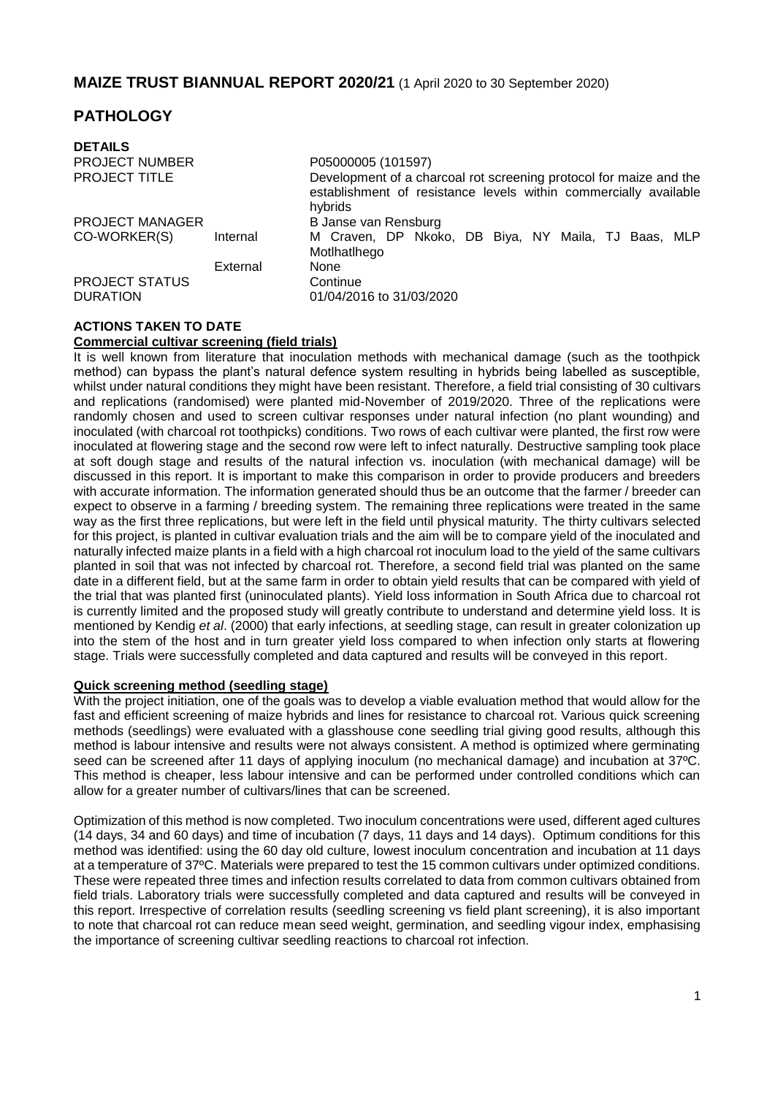## **PATHOLOGY**

| <b>DETAILS</b>                           |          |                                                                                                                                                   |  |  |
|------------------------------------------|----------|---------------------------------------------------------------------------------------------------------------------------------------------------|--|--|
| <b>PROJECT NUMBER</b>                    |          | P05000005 (101597)                                                                                                                                |  |  |
| <b>PROJECT TITLE</b>                     |          | Development of a charcoal rot screening protocol for maize and the<br>establishment of resistance levels within commercially available<br>hybrids |  |  |
| <b>PROJECT MANAGER</b>                   |          | B Janse van Rensburg                                                                                                                              |  |  |
| CO-WORKER(S)                             | Internal | M Craven, DP Nkoko, DB Biya, NY Maila, TJ Baas, MLP<br>Motlhatlhego                                                                               |  |  |
|                                          | External | None                                                                                                                                              |  |  |
| <b>PROJECT STATUS</b><br><b>DURATION</b> |          | Continue<br>01/04/2016 to 31/03/2020                                                                                                              |  |  |

## **ACTIONS TAKEN TO DATE**

## **Commercial cultivar screening (field trials)**

It is well known from literature that inoculation methods with mechanical damage (such as the toothpick method) can bypass the plant's natural defence system resulting in hybrids being labelled as susceptible, whilst under natural conditions they might have been resistant. Therefore, a field trial consisting of 30 cultivars and replications (randomised) were planted mid-November of 2019/2020. Three of the replications were randomly chosen and used to screen cultivar responses under natural infection (no plant wounding) and inoculated (with charcoal rot toothpicks) conditions. Two rows of each cultivar were planted, the first row were inoculated at flowering stage and the second row were left to infect naturally. Destructive sampling took place at soft dough stage and results of the natural infection vs. inoculation (with mechanical damage) will be discussed in this report. It is important to make this comparison in order to provide producers and breeders with accurate information. The information generated should thus be an outcome that the farmer / breeder can expect to observe in a farming / breeding system. The remaining three replications were treated in the same way as the first three replications, but were left in the field until physical maturity. The thirty cultivars selected for this project, is planted in cultivar evaluation trials and the aim will be to compare yield of the inoculated and naturally infected maize plants in a field with a high charcoal rot inoculum load to the yield of the same cultivars planted in soil that was not infected by charcoal rot. Therefore, a second field trial was planted on the same date in a different field, but at the same farm in order to obtain yield results that can be compared with yield of the trial that was planted first (uninoculated plants). Yield loss information in South Africa due to charcoal rot is currently limited and the proposed study will greatly contribute to understand and determine yield loss. It is mentioned by Kendig *et al*. (2000) that early infections, at seedling stage, can result in greater colonization up into the stem of the host and in turn greater yield loss compared to when infection only starts at flowering stage. Trials were successfully completed and data captured and results will be conveyed in this report.

#### **Quick screening method (seedling stage)**

With the project initiation, one of the goals was to develop a viable evaluation method that would allow for the fast and efficient screening of maize hybrids and lines for resistance to charcoal rot. Various quick screening methods (seedlings) were evaluated with a glasshouse cone seedling trial giving good results, although this method is labour intensive and results were not always consistent. A method is optimized where germinating seed can be screened after 11 days of applying inoculum (no mechanical damage) and incubation at 37°C. This method is cheaper, less labour intensive and can be performed under controlled conditions which can allow for a greater number of cultivars/lines that can be screened.

Optimization of this method is now completed. Two inoculum concentrations were used, different aged cultures (14 days, 34 and 60 days) and time of incubation (7 days, 11 days and 14 days). Optimum conditions for this method was identified: using the 60 day old culture, lowest inoculum concentration and incubation at 11 days at a temperature of 37ºC. Materials were prepared to test the 15 common cultivars under optimized conditions. These were repeated three times and infection results correlated to data from common cultivars obtained from field trials. Laboratory trials were successfully completed and data captured and results will be conveyed in this report. Irrespective of correlation results (seedling screening vs field plant screening), it is also important to note that charcoal rot can reduce mean seed weight, germination, and seedling vigour index, emphasising the importance of screening cultivar seedling reactions to charcoal rot infection.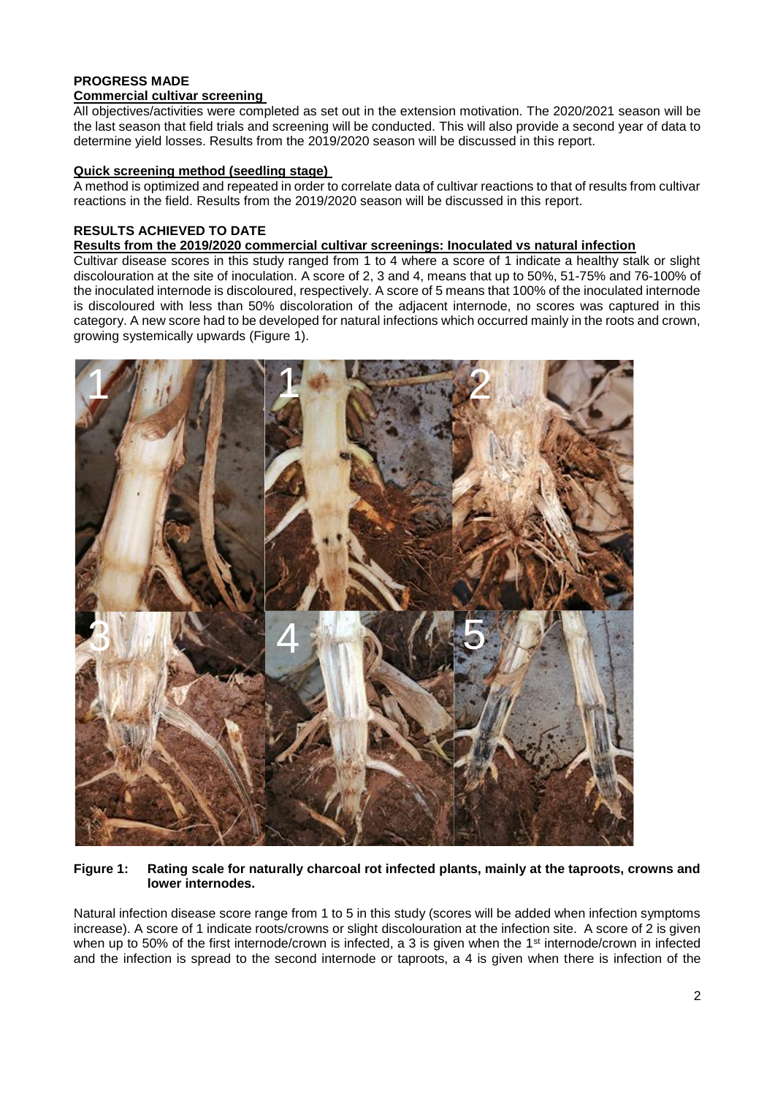# **PROGRESS MADE**

## **Commercial cultivar screening**

All objectives/activities were completed as set out in the extension motivation. The 2020/2021 season will be the last season that field trials and screening will be conducted. This will also provide a second year of data to determine yield losses. Results from the 2019/2020 season will be discussed in this report.

## **Quick screening method (seedling stage)**

A method is optimized and repeated in order to correlate data of cultivar reactions to that of results from cultivar reactions in the field. Results from the 2019/2020 season will be discussed in this report.

## **RESULTS ACHIEVED TO DATE**

#### **Results from the 2019/2020 commercial cultivar screenings: Inoculated vs natural infection**

Cultivar disease scores in this study ranged from 1 to 4 where a score of 1 indicate a healthy stalk or slight discolouration at the site of inoculation. A score of 2, 3 and 4, means that up to 50%, 51-75% and 76-100% of the inoculated internode is discoloured, respectively. A score of 5 means that 100% of the inoculated internode is discoloured with less than 50% discoloration of the adjacent internode, no scores was captured in this category. A new score had to be developed for natural infections which occurred mainly in the roots and crown, growing systemically upwards (Figure 1).



#### **Figure 1: Rating scale for naturally charcoal rot infected plants, mainly at the taproots, crowns and lower internodes.**

Natural infection disease score range from 1 to 5 in this study (scores will be added when infection symptoms increase). A score of 1 indicate roots/crowns or slight discolouration at the infection site. A score of 2 is given when up to 50% of the first internode/crown is infected, a 3 is given when the 1<sup>st</sup> internode/crown in infected and the infection is spread to the second internode or taproots, a 4 is given when there is infection of the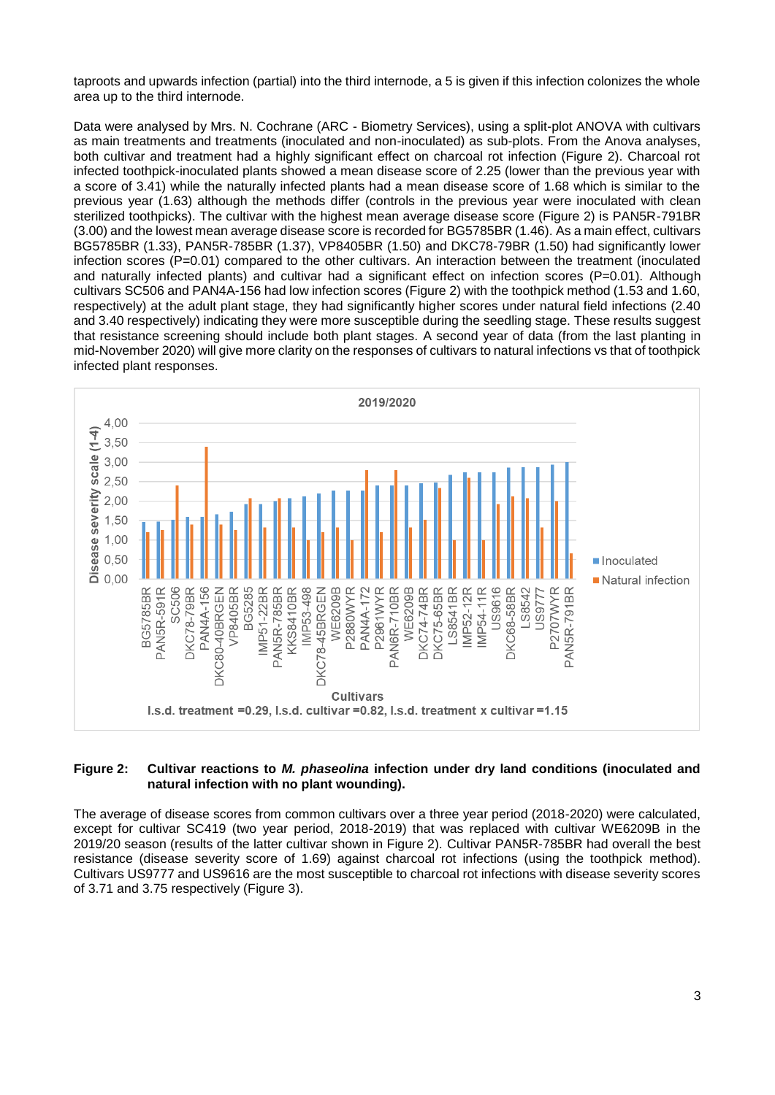taproots and upwards infection (partial) into the third internode, a 5 is given if this infection colonizes the whole area up to the third internode.

Data were analysed by Mrs. N. Cochrane (ARC - Biometry Services), using a split-plot ANOVA with cultivars as main treatments and treatments (inoculated and non-inoculated) as sub-plots. From the Anova analyses, both cultivar and treatment had a highly significant effect on charcoal rot infection (Figure 2). Charcoal rot infected toothpick-inoculated plants showed a mean disease score of 2.25 (lower than the previous year with a score of 3.41) while the naturally infected plants had a mean disease score of 1.68 which is similar to the previous year (1.63) although the methods differ (controls in the previous year were inoculated with clean sterilized toothpicks). The cultivar with the highest mean average disease score (Figure 2) is PAN5R-791BR (3.00) and the lowest mean average disease score is recorded for BG5785BR (1.46). As a main effect, cultivars BG5785BR (1.33), PAN5R-785BR (1.37), VP8405BR (1.50) and DKC78-79BR (1.50) had significantly lower infection scores (P=0.01) compared to the other cultivars. An interaction between the treatment (inoculated and naturally infected plants) and cultivar had a significant effect on infection scores (P=0.01). Although cultivars SC506 and PAN4A-156 had low infection scores (Figure 2) with the toothpick method (1.53 and 1.60, respectively) at the adult plant stage, they had significantly higher scores under natural field infections (2.40 and 3.40 respectively) indicating they were more susceptible during the seedling stage. These results suggest that resistance screening should include both plant stages. A second year of data (from the last planting in mid-November 2020) will give more clarity on the responses of cultivars to natural infections vs that of toothpick infected plant responses.



#### **Figure 2: Cultivar reactions to** *M. phaseolina* **infection under dry land conditions (inoculated and natural infection with no plant wounding).**

The average of disease scores from common cultivars over a three year period (2018-2020) were calculated, except for cultivar SC419 (two year period, 2018-2019) that was replaced with cultivar WE6209B in the 2019/20 season (results of the latter cultivar shown in Figure 2). Cultivar PAN5R-785BR had overall the best resistance (disease severity score of 1.69) against charcoal rot infections (using the toothpick method). Cultivars US9777 and US9616 are the most susceptible to charcoal rot infections with disease severity scores of 3.71 and 3.75 respectively (Figure 3).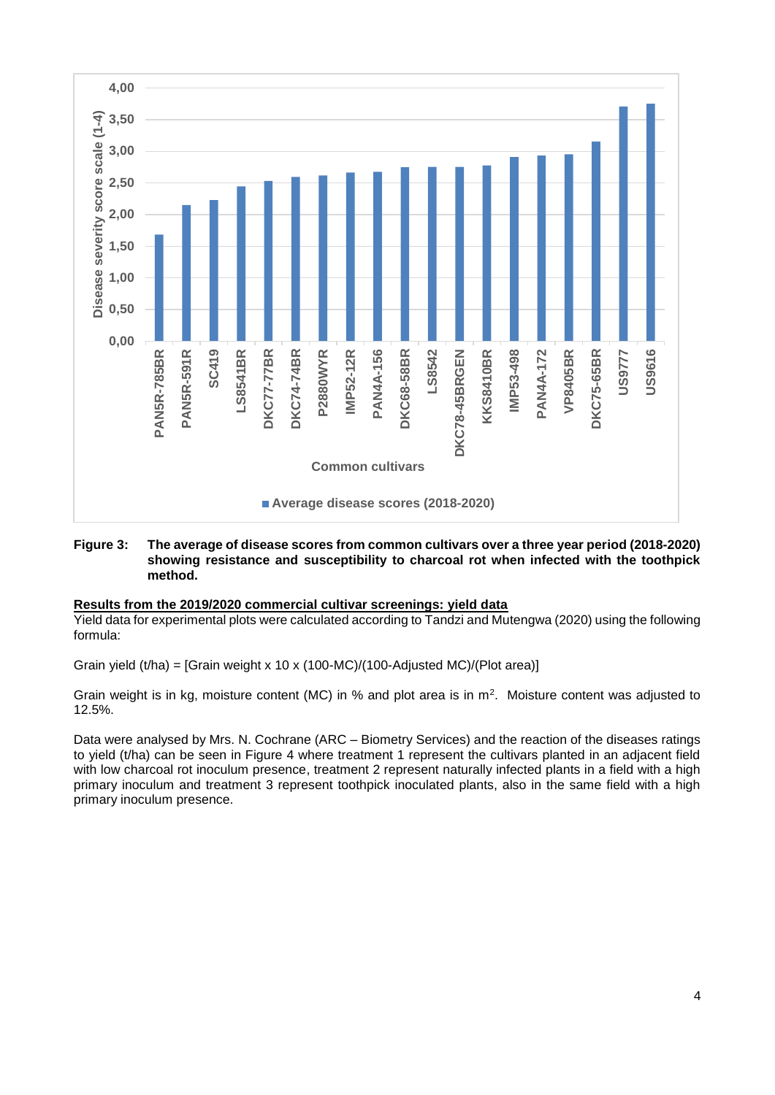

#### **Figure 3: The average of disease scores from common cultivars over a three year period (2018-2020) showing resistance and susceptibility to charcoal rot when infected with the toothpick method.**

#### **Results from the 2019/2020 commercial cultivar screenings: yield data**

Yield data for experimental plots were calculated according to Tandzi and Mutengwa (2020) using the following formula:

Grain yield (t/ha) = [Grain weight x 10 x (100-MC)/(100-Adjusted MC)/(Plot area)]

Grain weight is in kg, moisture content (MC) in % and plot area is in  $m^2$ . Moisture content was adjusted to 12.5%.

Data were analysed by Mrs. N. Cochrane (ARC – Biometry Services) and the reaction of the diseases ratings to yield (t/ha) can be seen in Figure 4 where treatment 1 represent the cultivars planted in an adjacent field with low charcoal rot inoculum presence, treatment 2 represent naturally infected plants in a field with a high primary inoculum and treatment 3 represent toothpick inoculated plants, also in the same field with a high primary inoculum presence.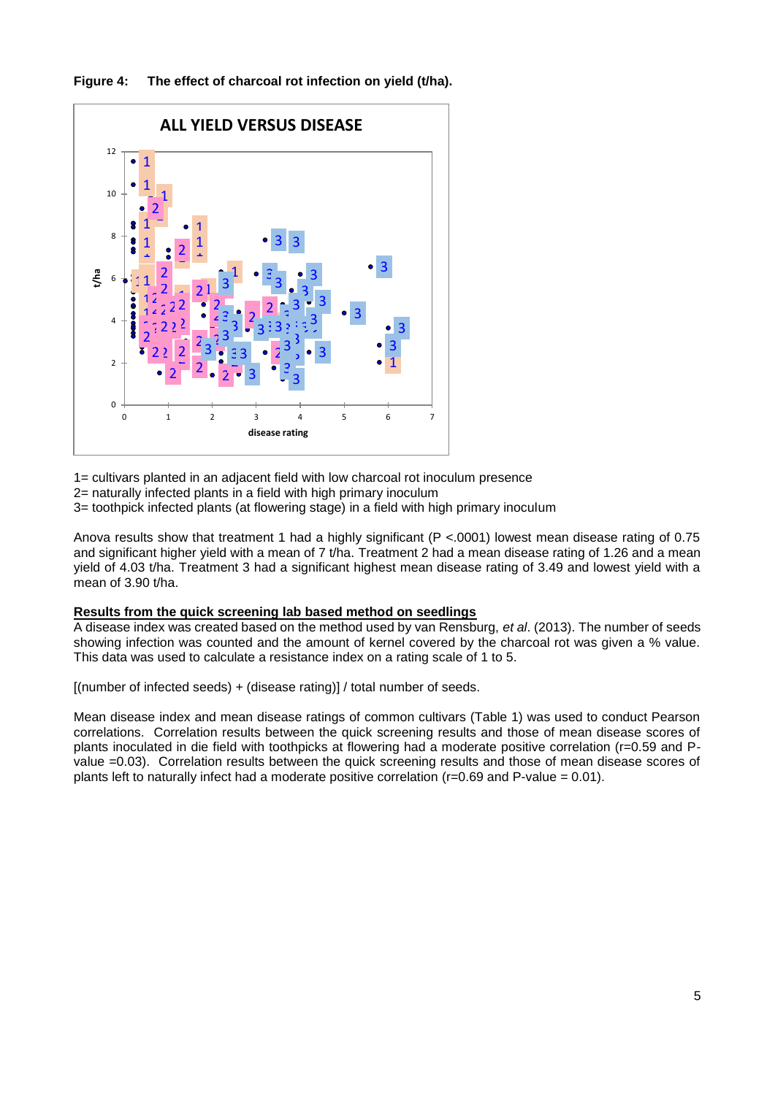**Figure 4: The effect of charcoal rot infection on yield (t/ha).**



1= cultivars planted in an adjacent field with low charcoal rot inoculum presence

2= naturally infected plants in a field with high primary inoculum

3= toothpick infected plants (at flowering stage) in a field with high primary inoculum

Anova results show that treatment 1 had a highly significant (P <.0001) lowest mean disease rating of 0.75 and significant higher yield with a mean of 7 t/ha. Treatment 2 had a mean disease rating of 1.26 and a mean yield of 4.03 t/ha. Treatment 3 had a significant highest mean disease rating of 3.49 and lowest yield with a mean of 3.90 t/ha.

## **Results from the quick screening lab based method on seedlings**

A disease index was created based on the method used by van Rensburg, *et al*. (2013). The number of seeds showing infection was counted and the amount of kernel covered by the charcoal rot was given a % value. This data was used to calculate a resistance index on a rating scale of 1 to 5.

[(number of infected seeds) + (disease rating)] / total number of seeds.

Mean disease index and mean disease ratings of common cultivars (Table 1) was used to conduct Pearson correlations. Correlation results between the quick screening results and those of mean disease scores of plants inoculated in die field with toothpicks at flowering had a moderate positive correlation (r=0.59 and Pvalue =0.03). Correlation results between the quick screening results and those of mean disease scores of plants left to naturally infect had a moderate positive correlation (r=0.69 and P-value = 0.01).